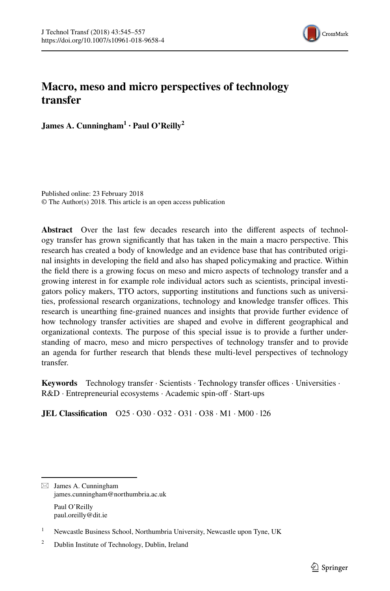

# **Macro, meso and micro perspectives of technology transfer**

**James A. Cunningham1 · Paul O'Reilly2**

Published online: 23 February 2018 © The Author(s) 2018. This article is an open access publication

**Abstract** Over the last few decades research into the diferent aspects of technology transfer has grown signifcantly that has taken in the main a macro perspective. This research has created a body of knowledge and an evidence base that has contributed original insights in developing the feld and also has shaped policymaking and practice. Within the feld there is a growing focus on meso and micro aspects of technology transfer and a growing interest in for example role individual actors such as scientists, principal investigators policy makers, TTO actors, supporting institutions and functions such as universities, professional research organizations, technology and knowledge transfer offices. This research is unearthing fne-grained nuances and insights that provide further evidence of how technology transfer activities are shaped and evolve in diferent geographical and organizational contexts. The purpose of this special issue is to provide a further understanding of macro, meso and micro perspectives of technology transfer and to provide an agenda for further research that blends these multi-level perspectives of technology transfer.

**Keywords** Technology transfer · Scientists · Technology transfer offices · Universities · R&D · Entrepreneurial ecosystems · Academic spin-off · Start-ups

**JEL Classifcation** O25 · O30 · O32 · O31 · O38 · M1 · M00 · l26

 $\boxtimes$  James A. Cunningham james.cunningham@northumbria.ac.uk Paul O'Reilly paul.oreilly@dit.ie

<sup>&</sup>lt;sup>1</sup> Newcastle Business School, Northumbria University, Newcastle upon Tyne, UK

<sup>2</sup> Dublin Institute of Technology, Dublin, Ireland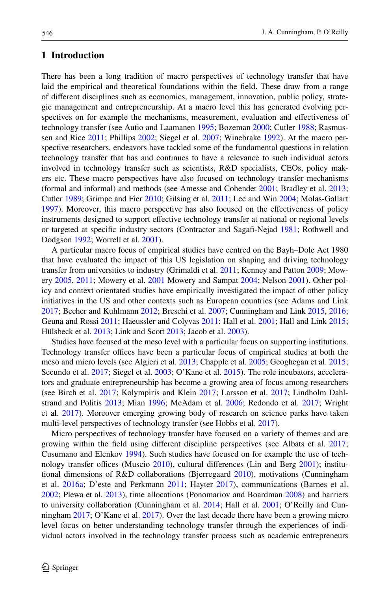### **1 Introduction**

There has been a long tradition of macro perspectives of technology transfer that have laid the empirical and theoretical foundations within the feld. These draw from a range of diferent disciplines such as economics, management, innovation, public policy, strategic management and entrepreneurship. At a macro level this has generated evolving perspectives on for example the mechanisms, measurement, evaluation and efectiveness of technology transfer (see Autio and Laamanen [1995](#page-8-0); Bozeman [2000;](#page-8-1) Cutler [1988](#page-9-0); Rasmussen and Rice [2011](#page-11-0); Phillips [2002;](#page-11-1) Siegel et al. [2007](#page-11-2); Winebrake [1992\)](#page-12-0). At the macro perspective researchers, endeavors have tackled some of the fundamental questions in relation technology transfer that has and continues to have a relevance to such individual actors involved in technology transfer such as scientists, R&D specialists, CEOs, policy makers etc. These macro perspectives have also focused on technology transfer mechanisms (formal and informal) and methods (see Amesse and Cohendet [2001;](#page-8-2) Bradley et al. [2013](#page-8-3); Cutler [1989](#page-9-1); Grimpe and Fier [2010](#page-9-2); Gilsing et al. [2011;](#page-9-3) Lee and Win [2004;](#page-10-0) Molas-Gallart [1997\)](#page-10-1). Moreover, this macro perspective has also focused on the efectiveness of policy instruments designed to support efective technology transfer at national or regional levels or targeted at specifc industry sectors (Contractor and Sagaf-Nejad [1981](#page-9-4); Rothwell and Dodgson [1992](#page-11-3); Worrell et al. [2001\)](#page-12-1).

A particular macro focus of empirical studies have centred on the Bayh–Dole Act 1980 that have evaluated the impact of this US legislation on shaping and driving technology transfer from universities to industry (Grimaldi et al. [2011](#page-9-5); Kenney and Patton [2009;](#page-10-2) Mowery [2005,](#page-11-4) [2011](#page-11-5); Mowery et al. [2001](#page-11-6) Mowery and Sampat [2004](#page-11-7); Nelson [2001](#page-11-8)). Other policy and context orientated studies have empirically investigated the impact of other policy initiatives in the US and other contexts such as European countries (see Adams and Link [2017;](#page-8-4) Becher and Kuhlmann [2012;](#page-8-5) Breschi et al. [2007;](#page-8-6) Cunningham and Link [2015](#page-9-6), [2016;](#page-9-7) Geuna and Rossi [2011;](#page-9-8) Haeussler and Colyvas [2011](#page-9-9); Hall et al. [2001](#page-10-3); Hall and Link [2015;](#page-9-10) Hülsbeck et al. [2013;](#page-10-4) Link and Scott [2013;](#page-10-5) Jacob et al. [2003](#page-10-6)).

Studies have focused at the meso level with a particular focus on supporting institutions. Technology transfer offices have been a particular focus of empirical studies at both the meso and micro levels (see Algieri et al. [2013;](#page-8-7) Chapple et al. [2005;](#page-9-11) Geoghegan et al. [2015;](#page-9-12) Secundo et al. [2017](#page-11-9); Siegel et al. [2003](#page-12-2); O'Kane et al. [2015](#page-11-10)). The role incubators, accelerators and graduate entrepreneurship has become a growing area of focus among researchers (see Birch et al. [2017](#page-8-8); Kolympiris and Klein [2017;](#page-10-7) Larsson et al. [2017](#page-10-8); Lindholm Dahlstrand and Politis [2013](#page-10-9); Mian [1996](#page-10-10); McAdam et al. [2006;](#page-10-11) Redondo et al. [2017;](#page-11-11) Wright et al. [2017\)](#page-12-3). Moreover emerging growing body of research on science parks have taken multi-level perspectives of technology transfer (see Hobbs et al. [2017\)](#page-10-12).

Micro perspectives of technology transfer have focused on a variety of themes and are growing within the feld using diferent discipline perspectives (see Albats et al. [2017;](#page-8-9) Cusumano and Elenkov [1994](#page-9-13)). Such studies have focused on for example the use of technology transfer offices (Muscio  $2010$ ), cultural differences (Lin and Berg  $2001$ ); institutional dimensions of R&D collaborations (Bjerregaard [2010\)](#page-8-10), motivations (Cunningham et al. [2016a;](#page-9-7) D'este and Perkmann [2011;](#page-9-14) Hayter [2017\)](#page-10-14), communications (Barnes et al. [2002;](#page-8-11) Plewa et al. [2013\)](#page-11-13), time allocations (Ponomariov and Boardman [2008](#page-11-14)) and barriers to university collaboration (Cunningham et al. [2014](#page-9-15); Hall et al. [2001;](#page-10-3) O'Reilly and Cunningham [2017;](#page-11-15) O'Kane et al. [2017](#page-11-16)). Over the last decade there have been a growing micro level focus on better understanding technology transfer through the experiences of individual actors involved in the technology transfer process such as academic entrepreneurs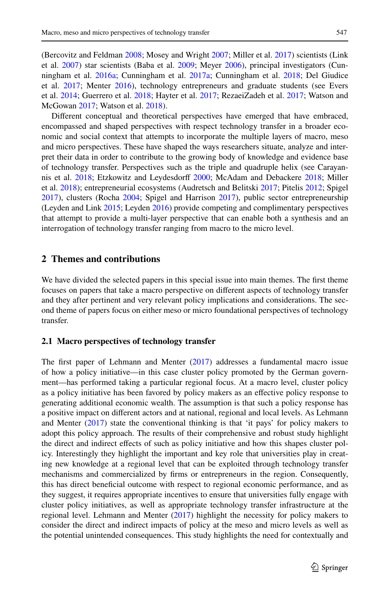(Bercovitz and Feldman [2008;](#page-8-12) Mosey and Wright [2007;](#page-10-15) Miller et al. [2017\)](#page-10-16) scientists (Link et al. [2007\)](#page-10-17) star scientists (Baba et al. [2009](#page-8-13); Meyer [2006\)](#page-10-18), principal investigators (Cunningham et al. [2016a;](#page-9-7) Cunningham et al. [2017a;](#page-9-16) Cunningham et al. [2018;](#page-9-17) Del Giudice et al. [2017;](#page-9-18) Menter [2016](#page-10-19)), technology entrepreneurs and graduate students (see Evers et al. [2014](#page-9-19); Guerrero et al. [2018](#page-9-20); Hayter et al. [2017](#page-10-14); RezaeiZadeh et al. [2017](#page-11-17); Watson and McGowan [2017;](#page-12-4) Watson et al. [2018](#page-12-5)).

Diferent conceptual and theoretical perspectives have emerged that have embraced, encompassed and shaped perspectives with respect technology transfer in a broader economic and social context that attempts to incorporate the multiple layers of macro, meso and micro perspectives. These have shaped the ways researchers situate, analyze and interpret their data in order to contribute to the growing body of knowledge and evidence base of technology transfer. Perspectives such as the triple and quadruple helix (see Carayannis et al. [2018;](#page-9-21) Etzkowitz and Leydesdorf [2000;](#page-9-22) McAdam and Debackere [2018;](#page-10-20) Miller et al. [2018\)](#page-10-21); entrepreneurial ecosystems (Audretsch and Belitski [2017;](#page-8-14) Pitelis [2012](#page-11-18); Spigel [2017\)](#page-12-6), clusters (Rocha [2004;](#page-11-19) Spigel and Harrison [2017\)](#page-12-7), public sector entrepreneurship (Leyden and Link [2015;](#page-10-22) Leyden [2016\)](#page-10-23) provide competing and complimentary perspectives that attempt to provide a multi-layer perspective that can enable both a synthesis and an interrogation of technology transfer ranging from macro to the micro level.

## **2 Themes and contributions**

We have divided the selected papers in this special issue into main themes. The frst theme focuses on papers that take a macro perspective on diferent aspects of technology transfer and they after pertinent and very relevant policy implications and considerations. The second theme of papers focus on either meso or micro foundational perspectives of technology transfer.

#### **2.1 Macro perspectives of technology transfer**

The first paper of Lehmann and Menter  $(2017)$  $(2017)$  addresses a fundamental macro issue of how a policy initiative—in this case cluster policy promoted by the German government—has performed taking a particular regional focus. At a macro level, cluster policy as a policy initiative has been favored by policy makers as an efective policy response to generating additional economic wealth. The assumption is that such a policy response has a positive impact on diferent actors and at national, regional and local levels. As Lehmann and Menter [\(2017](#page-10-24)) state the conventional thinking is that 'it pays' for policy makers to adopt this policy approach. The results of their comprehensive and robust study highlight the direct and indirect efects of such as policy initiative and how this shapes cluster policy. Interestingly they highlight the important and key role that universities play in creating new knowledge at a regional level that can be exploited through technology transfer mechanisms and commercialized by frms or entrepreneurs in the region. Consequently, this has direct benefcial outcome with respect to regional economic performance, and as they suggest, it requires appropriate incentives to ensure that universities fully engage with cluster policy initiatives, as well as appropriate technology transfer infrastructure at the regional level. Lehmann and Menter ([2017\)](#page-10-24) highlight the necessity for policy makers to consider the direct and indirect impacts of policy at the meso and micro levels as well as the potential unintended consequences. This study highlights the need for contextually and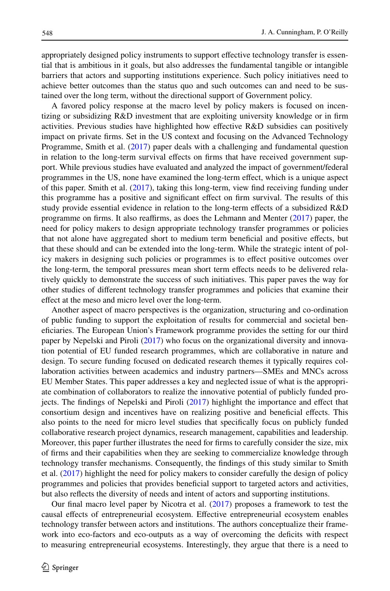appropriately designed policy instruments to support efective technology transfer is essential that is ambitious in it goals, but also addresses the fundamental tangible or intangible barriers that actors and supporting institutions experience. Such policy initiatives need to achieve better outcomes than the status quo and such outcomes can and need to be sustained over the long term, without the directional support of Government policy.

A favored policy response at the macro level by policy makers is focused on incentizing or subsidizing R&D investment that are exploiting university knowledge or in frm activities. Previous studies have highlighted how efective R&D subsidies can positively impact on private frms. Set in the US context and focusing on the Advanced Technology Programme, Smith et al. [\(2017](#page-12-8)) paper deals with a challenging and fundamental question in relation to the long-term survival efects on frms that have received government support. While previous studies have evaluated and analyzed the impact of government/federal programmes in the US, none have examined the long-term efect, which is a unique aspect of this paper. Smith et al. [\(2017](#page-12-8)), taking this long-term, view fnd receiving funding under this programme has a positive and signifcant efect on frm survival. The results of this study provide essential evidence in relation to the long-term efects of a subsidized R&D programme on firms. It also reaffirms, as does the Lehmann and Menter ([2017\)](#page-10-24) paper, the need for policy makers to design appropriate technology transfer programmes or policies that not alone have aggregated short to medium term benefcial and positive efects, but that these should and can be extended into the long-term. While the strategic intent of policy makers in designing such policies or programmes is to efect positive outcomes over the long-term, the temporal pressures mean short term efects needs to be delivered relatively quickly to demonstrate the success of such initiatives. This paper paves the way for other studies of diferent technology transfer programmes and policies that examine their efect at the meso and micro level over the long-term.

Another aspect of macro perspectives is the organization, structuring and co-ordination of public funding to support the exploitation of results for commercial and societal benefciaries. The European Union's Framework programme provides the setting for our third paper by Nepelski and Piroli ([2017\)](#page-11-20) who focus on the organizational diversity and innovation potential of EU funded research programmes, which are collaborative in nature and design. To secure funding focused on dedicated research themes it typically requires collaboration activities between academics and industry partners—SMEs and MNCs across EU Member States. This paper addresses a key and neglected issue of what is the appropriate combination of collaborators to realize the innovative potential of publicly funded projects. The fndings of Nepelski and Piroli [\(2017](#page-11-20)) highlight the importance and efect that consortium design and incentives have on realizing positive and benefcial efects. This also points to the need for micro level studies that specifcally focus on publicly funded collaborative research project dynamics, research management, capabilities and leadership. Moreover, this paper further illustrates the need for frms to carefully consider the size, mix of frms and their capabilities when they are seeking to commercialize knowledge through technology transfer mechanisms. Consequently, the fndings of this study similar to Smith et al. ([2017\)](#page-12-8) highlight the need for policy makers to consider carefully the design of policy programmes and policies that provides benefcial support to targeted actors and activities, but also refects the diversity of needs and intent of actors and supporting institutions.

Our fnal macro level paper by Nicotra et al. [\(2017](#page-11-21)) proposes a framework to test the causal efects of entrepreneurial ecosystem. Efective entrepreneurial ecosystem enables technology transfer between actors and institutions. The authors conceptualize their framework into eco-factors and eco-outputs as a way of overcoming the deficits with respect to measuring entrepreneurial ecosystems. Interestingly, they argue that there is a need to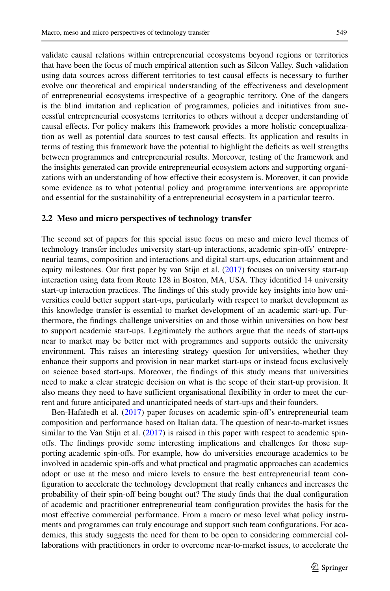validate causal relations within entrepreneurial ecosystems beyond regions or territories that have been the focus of much empirical attention such as Silcon Valley. Such validation using data sources across diferent territories to test causal efects is necessary to further evolve our theoretical and empirical understanding of the efectiveness and development of entrepreneurial ecosystems irrespective of a geographic territory. One of the dangers is the blind imitation and replication of programmes, policies and initiatives from successful entrepreneurial ecosystems territories to others without a deeper understanding of causal efects. For policy makers this framework provides a more holistic conceptualization as well as potential data sources to test causal efects. Its application and results in terms of testing this framework have the potential to highlight the defcits as well strengths between programmes and entrepreneurial results. Moreover, testing of the framework and the insights generated can provide entrepreneurial ecosystem actors and supporting organizations with an understanding of how efective their ecosystem is. Moreover, it can provide some evidence as to what potential policy and programme interventions are appropriate and essential for the sustainability of a entrepreneurial ecosystem in a particular teerro.

#### **2.2 Meso and micro perspectives of technology transfer**

The second set of papers for this special issue focus on meso and micro level themes of technology transfer includes university start-up interactions, academic spin-ofs' entrepreneurial teams, composition and interactions and digital start-ups, education attainment and equity milestones. Our first paper by van Stijn et al. ([2017\)](#page-12-9) focuses on university start-up interaction using data from Route 128 in Boston, MA, USA. They identifed 14 university start-up interaction practices. The fndings of this study provide key insights into how universities could better support start-ups, particularly with respect to market development as this knowledge transfer is essential to market development of an academic start-up. Furthermore, the fndings challenge universities on and those within universities on how best to support academic start-ups. Legitimately the authors argue that the needs of start-ups near to market may be better met with programmes and supports outside the university environment. This raises an interesting strategy question for universities, whether they enhance their supports and provision in near market start-ups or instead focus exclusively on science based start-ups. Moreover, the fndings of this study means that universities need to make a clear strategic decision on what is the scope of their start-up provision. It also means they need to have sufficient organisational flexibility in order to meet the current and future anticipated and unanticipated needs of start-ups and their founders.

Ben-Hafaïedh et al. [\(2017](#page-8-15)) paper focuses on academic spin-of's entrepreneurial team composition and performance based on Italian data. The question of near-to-market issues similar to the Van Stijn et al. [\(2017](#page-12-9)) is raised in this paper with respect to academic spinofs. The fndings provide some interesting implications and challenges for those supporting academic spin-ofs. For example, how do universities encourage academics to be involved in academic spin-ofs and what practical and pragmatic approaches can academics adopt or use at the meso and micro levels to ensure the best entrepreneurial team confguration to accelerate the technology development that really enhances and increases the probability of their spin-of being bought out? The study fnds that the dual confguration of academic and practitioner entrepreneurial team confguration provides the basis for the most efective commercial performance. From a macro or meso level what policy instruments and programmes can truly encourage and support such team confgurations. For academics, this study suggests the need for them to be open to considering commercial collaborations with practitioners in order to overcome near-to-market issues, to accelerate the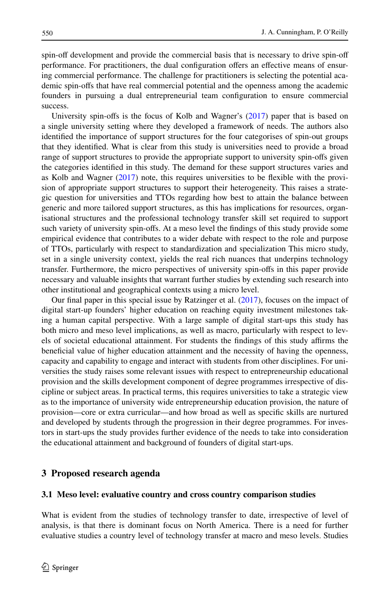spin-off development and provide the commercial basis that is necessary to drive spin-off performance. For practitioners, the dual confguration ofers an efective means of ensuring commercial performance. The challenge for practitioners is selecting the potential academic spin-ofs that have real commercial potential and the openness among the academic founders in pursuing a dual entrepreneurial team confguration to ensure commercial success.

University spin-offs is the focus of Kolb and Wagner's [\(2017](#page-10-25)) paper that is based on a single university setting where they developed a framework of needs. The authors also identifed the importance of support structures for the four categorises of spin-out groups that they identifed. What is clear from this study is universities need to provide a broad range of support structures to provide the appropriate support to university spin-ofs given the categories identifed in this study. The demand for these support structures varies and as Kolb and Wagner ([2017\)](#page-10-25) note, this requires universities to be fexible with the provision of appropriate support structures to support their heterogeneity. This raises a strategic question for universities and TTOs regarding how best to attain the balance between generic and more tailored support structures, as this has implications for resources, organisational structures and the professional technology transfer skill set required to support such variety of university spin-ofs. At a meso level the fndings of this study provide some empirical evidence that contributes to a wider debate with respect to the role and purpose of TTOs, particularly with respect to standardization and specialization This micro study, set in a single university context, yields the real rich nuances that underpins technology transfer. Furthermore, the micro perspectives of university spin-ofs in this paper provide necessary and valuable insights that warrant further studies by extending such research into other institutional and geographical contexts using a micro level.

Our fnal paper in this special issue by Ratzinger et al. ([2017\)](#page-11-22), focuses on the impact of digital start-up founders' higher education on reaching equity investment milestones taking a human capital perspective. With a large sample of digital start-ups this study has both micro and meso level implications, as well as macro, particularly with respect to levels of societal educational attainment. For students the findings of this study affirms the benefcial value of higher education attainment and the necessity of having the openness, capacity and capability to engage and interact with students from other disciplines. For universities the study raises some relevant issues with respect to entrepreneurship educational provision and the skills development component of degree programmes irrespective of discipline or subject areas. In practical terms, this requires universities to take a strategic view as to the importance of university wide entrepreneurship education provision, the nature of provision—core or extra curricular—and how broad as well as specifc skills are nurtured and developed by students through the progression in their degree programmes. For investors in start-ups the study provides further evidence of the needs to take into consideration the educational attainment and background of founders of digital start-ups.

#### **3 Proposed research agenda**

#### **3.1 Meso level: evaluative country and cross country comparison studies**

What is evident from the studies of technology transfer to date, irrespective of level of analysis, is that there is dominant focus on North America. There is a need for further evaluative studies a country level of technology transfer at macro and meso levels. Studies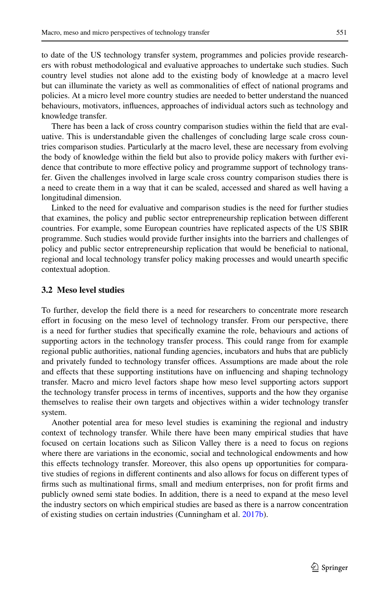to date of the US technology transfer system, programmes and policies provide researchers with robust methodological and evaluative approaches to undertake such studies. Such country level studies not alone add to the existing body of knowledge at a macro level but can illuminate the variety as well as commonalities of efect of national programs and policies. At a micro level more country studies are needed to better understand the nuanced behaviours, motivators, infuences, approaches of individual actors such as technology and knowledge transfer.

There has been a lack of cross country comparison studies within the feld that are evaluative. This is understandable given the challenges of concluding large scale cross countries comparison studies. Particularly at the macro level, these are necessary from evolving the body of knowledge within the feld but also to provide policy makers with further evidence that contribute to more efective policy and programme support of technology transfer. Given the challenges involved in large scale cross country comparison studies there is a need to create them in a way that it can be scaled, accessed and shared as well having a longitudinal dimension.

Linked to the need for evaluative and comparison studies is the need for further studies that examines, the policy and public sector entrepreneurship replication between diferent countries. For example, some European countries have replicated aspects of the US SBIR programme. Such studies would provide further insights into the barriers and challenges of policy and public sector entrepreneurship replication that would be benefcial to national, regional and local technology transfer policy making processes and would unearth specifc contextual adoption.

#### **3.2 Meso level studies**

To further, develop the feld there is a need for researchers to concentrate more research efort in focusing on the meso level of technology transfer. From our perspective, there is a need for further studies that specifcally examine the role, behaviours and actions of supporting actors in the technology transfer process. This could range from for example regional public authorities, national funding agencies, incubators and hubs that are publicly and privately funded to technology transfer offices. Assumptions are made about the role and efects that these supporting institutions have on infuencing and shaping technology transfer. Macro and micro level factors shape how meso level supporting actors support the technology transfer process in terms of incentives, supports and the how they organise themselves to realise their own targets and objectives within a wider technology transfer system.

Another potential area for meso level studies is examining the regional and industry context of technology transfer. While there have been many empirical studies that have focused on certain locations such as Silicon Valley there is a need to focus on regions where there are variations in the economic, social and technological endowments and how this efects technology transfer. Moreover, this also opens up opportunities for comparative studies of regions in diferent continents and also allows for focus on diferent types of frms such as multinational frms, small and medium enterprises, non for proft frms and publicly owned semi state bodies. In addition, there is a need to expand at the meso level the industry sectors on which empirical studies are based as there is a narrow concentration of existing studies on certain industries (Cunningham et al. [2017b\)](#page-9-23).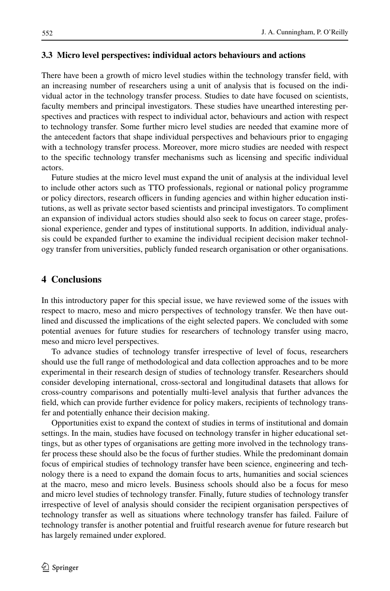#### **3.3 Micro level perspectives: individual actors behaviours and actions**

There have been a growth of micro level studies within the technology transfer feld, with an increasing number of researchers using a unit of analysis that is focused on the individual actor in the technology transfer process. Studies to date have focused on scientists, faculty members and principal investigators. These studies have unearthed interesting perspectives and practices with respect to individual actor, behaviours and action with respect to technology transfer. Some further micro level studies are needed that examine more of the antecedent factors that shape individual perspectives and behaviours prior to engaging with a technology transfer process. Moreover, more micro studies are needed with respect to the specifc technology transfer mechanisms such as licensing and specifc individual actors.

Future studies at the micro level must expand the unit of analysis at the individual level to include other actors such as TTO professionals, regional or national policy programme or policy directors, research officers in funding agencies and within higher education institutions, as well as private sector based scientists and principal investigators. To compliment an expansion of individual actors studies should also seek to focus on career stage, professional experience, gender and types of institutional supports. In addition, individual analysis could be expanded further to examine the individual recipient decision maker technology transfer from universities, publicly funded research organisation or other organisations.

#### **4 Conclusions**

In this introductory paper for this special issue, we have reviewed some of the issues with respect to macro, meso and micro perspectives of technology transfer. We then have outlined and discussed the implications of the eight selected papers. We concluded with some potential avenues for future studies for researchers of technology transfer using macro, meso and micro level perspectives.

To advance studies of technology transfer irrespective of level of focus, researchers should use the full range of methodological and data collection approaches and to be more experimental in their research design of studies of technology transfer. Researchers should consider developing international, cross-sectoral and longitudinal datasets that allows for cross-country comparisons and potentially multi-level analysis that further advances the feld, which can provide further evidence for policy makers, recipients of technology transfer and potentially enhance their decision making.

Opportunities exist to expand the context of studies in terms of institutional and domain settings. In the main, studies have focused on technology transfer in higher educational settings, but as other types of organisations are getting more involved in the technology transfer process these should also be the focus of further studies. While the predominant domain focus of empirical studies of technology transfer have been science, engineering and technology there is a need to expand the domain focus to arts, humanities and social sciences at the macro, meso and micro levels. Business schools should also be a focus for meso and micro level studies of technology transfer. Finally, future studies of technology transfer irrespective of level of analysis should consider the recipient organisation perspectives of technology transfer as well as situations where technology transfer has failed. Failure of technology transfer is another potential and fruitful research avenue for future research but has largely remained under explored.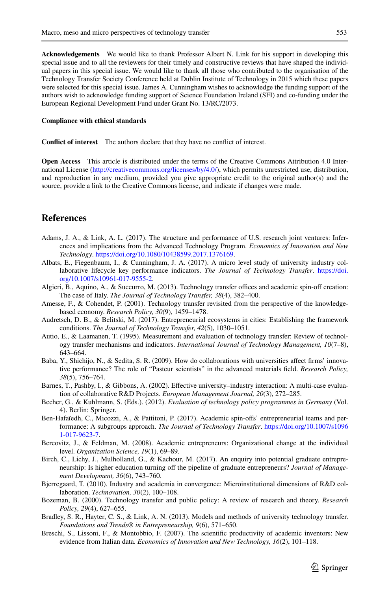**Acknowledgements** We would like to thank Professor Albert N. Link for his support in developing this special issue and to all the reviewers for their timely and constructive reviews that have shaped the individual papers in this special issue. We would like to thank all those who contributed to the organisation of the Technology Transfer Society Conference held at Dublin Institute of Technology in 2015 which these papers were selected for this special issue. James A. Cunningham wishes to acknowledge the funding support of the authors wish to acknowledge funding support of Science Foundation Ireland (SFI) and co-funding under the European Regional Development Fund under Grant No. 13/RC/2073.

#### **Compliance with ethical standards**

**Confict of interest** The authors declare that they have no confict of interest.

**Open Access** This article is distributed under the terms of the Creative Commons Attribution 4.0 International License [\(http://creativecommons.org/licenses/by/4.0/](http://creativecommons.org/licenses/by/4.0/)), which permits unrestricted use, distribution, and reproduction in any medium, provided you give appropriate credit to the original author(s) and the source, provide a link to the Creative Commons license, and indicate if changes were made.

## **References**

- <span id="page-8-4"></span>Adams, J. A., & Link, A. L. (2017). The structure and performance of U.S. research joint ventures: Inferences and implications from the Advanced Technology Program. *Economics of Innovation and New Technology*. <https://doi.org/10.1080/10438599.2017.1376169>.
- <span id="page-8-9"></span>Albats, E., Fiegenbaum, I., & Cunningham, J. A. (2017). A micro level study of university industry collaborative lifecycle key performance indicators. *The Journal of Technology Transfer*. [https://doi.](https://doi.org/10.1007/s10961-017-9555-2) [org/10.1007/s10961-017-9555-2](https://doi.org/10.1007/s10961-017-9555-2).
- <span id="page-8-7"></span>Algieri, B., Aquino, A., & Succurro, M. (2013). Technology transfer offices and academic spin-off creation: The case of Italy. *The Journal of Technology Transfer, 38*(4), 382–400.
- <span id="page-8-2"></span>Amesse, F., & Cohendet, P. (2001). Technology transfer revisited from the perspective of the knowledgebased economy. *Research Policy, 30*(9), 1459–1478.
- <span id="page-8-14"></span>Audretsch, D. B., & Belitski, M. (2017). Entrepreneurial ecosystems in cities: Establishing the framework conditions. *The Journal of Technology Transfer, 42*(5), 1030–1051.
- <span id="page-8-0"></span>Autio, E., & Laamanen, T. (1995). Measurement and evaluation of technology transfer: Review of technology transfer mechanisms and indicators. *International Journal of Technology Management, 10*(7–8), 643–664.
- <span id="page-8-13"></span>Baba, Y., Shichijo, N., & Sedita, S. R. (2009). How do collaborations with universities afect frms' innovative performance? The role of "Pasteur scientists" in the advanced materials feld. *Research Policy, 38*(5), 756–764.
- <span id="page-8-11"></span>Barnes, T., Pashby, I., & Gibbons, A. (2002). Efective university–industry interaction: A multi-case evaluation of collaborative R&D Projects. *European Management Journal, 20*(3), 272–285.
- <span id="page-8-5"></span>Becher, G., & Kuhlmann, S. (Eds.). (2012). *Evaluation of technology policy programmes in Germany* (Vol. 4). Berlin: Springer.
- <span id="page-8-15"></span>Ben-Hafaïedh, C., Micozzi, A., & Pattitoni, P. (2017). Academic spin-ofs' entrepreneurial teams and performance: A subgroups approach. *The Journal of Technology Transfer*. [https://doi.org/10.1007/s1096](https://doi.org/10.1007/s10961-017-9623-7) [1-017-9623-7](https://doi.org/10.1007/s10961-017-9623-7).
- <span id="page-8-12"></span>Bercovitz, J., & Feldman, M. (2008). Academic entrepreneurs: Organizational change at the individual level. *Organization Science, 19*(1), 69–89.
- <span id="page-8-8"></span>Birch, C., Lichy, J., Mulholland, G., & Kachour, M. (2017). An enquiry into potential graduate entrepreneurship: Is higher education turning of the pipeline of graduate entrepreneurs? *Journal of Management Development, 36*(6), 743–760.
- <span id="page-8-10"></span>Bjerregaard, T. (2010). Industry and academia in convergence: Microinstitutional dimensions of R&D collaboration. *Technovation, 30*(2), 100–108.
- <span id="page-8-1"></span>Bozeman, B. (2000). Technology transfer and public policy: A review of research and theory. *Research Policy, 29*(4), 627–655.
- <span id="page-8-3"></span>Bradley, S. R., Hayter, C. S., & Link, A. N. (2013). Models and methods of university technology transfer. *Foundations and Trends® in Entrepreneurship, 9*(6), 571–650.
- <span id="page-8-6"></span>Breschi, S., Lissoni, F., & Montobbio, F. (2007). The scientifc productivity of academic inventors: New evidence from Italian data. *Economics of Innovation and New Technology, 16*(2), 101–118.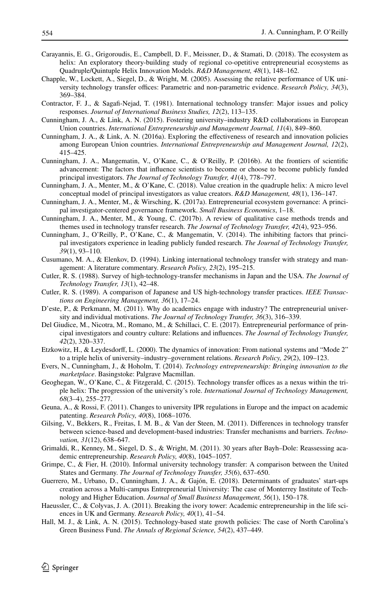- <span id="page-9-21"></span>Carayannis, E. G., Grigoroudis, E., Campbell, D. F., Meissner, D., & Stamati, D. (2018). The ecosystem as helix: An exploratory theory-building study of regional co-opetitive entrepreneurial ecosystems as Quadruple/Quintuple Helix Innovation Models. *R&D Management, 48*(1), 148–162.
- <span id="page-9-11"></span>Chapple, W., Lockett, A., Siegel, D., & Wright, M. (2005). Assessing the relative performance of UK university technology transfer offices: Parametric and non-parametric evidence. *Research Policy, 34*(3), 369–384.
- <span id="page-9-4"></span>Contractor, F. J., & Sagaf-Nejad, T. (1981). International technology transfer: Major issues and policy responses. *Journal of International Business Studies, 12*(2), 113–135.
- <span id="page-9-6"></span>Cunningham, J. A., & Link, A. N. (2015). Fostering university–industry R&D collaborations in European Union countries. *International Entrepreneurship and Management Journal, 11*(4), 849–860.
- <span id="page-9-7"></span>Cunningham, J. A., & Link, A. N. (2016a). Exploring the efectiveness of research and innovation policies among European Union countries. *International Entrepreneurship and Management Journal, 12*(2), 415–425.
- Cunningham, J. A., Mangematin, V., O'Kane, C., & O'Reilly, P. (2016b). At the frontiers of scientifc advancement: The factors that infuence scientists to become or choose to become publicly funded principal investigators. *The Journal of Technology Transfer, 41*(4), 778–797.
- <span id="page-9-17"></span>Cunningham, J. A., Menter, M., & O'Kane, C. (2018). Value creation in the quadruple helix: A micro level conceptual model of principal investigators as value creators. *R&D Management, 48*(1), 136–147.
- <span id="page-9-16"></span>Cunningham, J. A., Menter, M., & Wirsching, K. (2017a). Entrepreneurial ecosystem governance: A principal investigator-centered governance framework. *Small Business Economics*, 1–18.
- <span id="page-9-23"></span>Cunningham, J. A., Menter, M., & Young, C. (2017b). A review of qualitative case methods trends and themes used in technology transfer research. *The Journal of Technology Transfer, 42*(4), 923–956.
- <span id="page-9-15"></span>Cunningham, J., O'Reilly, P., O'Kane, C., & Mangematin, V. (2014). The inhibiting factors that principal investigators experience in leading publicly funded research. *The Journal of Technology Transfer, 39*(1), 93–110.
- <span id="page-9-13"></span>Cusumano, M. A., & Elenkov, D. (1994). Linking international technology transfer with strategy and management: A literature commentary. *Research Policy, 23*(2), 195–215.
- <span id="page-9-0"></span>Cutler, R. S. (1988). Survey of high-technology-transfer mechanisms in Japan and the USA. *The Journal of Technology Transfer, 13*(1), 42–48.
- <span id="page-9-1"></span>Cutler, R. S. (1989). A comparison of Japanese and US high-technology transfer practices. *IEEE Transactions on Engineering Management, 36*(1), 17–24.
- <span id="page-9-14"></span>D'este, P., & Perkmann, M. (2011). Why do academics engage with industry? The entrepreneurial university and individual motivations. *The Journal of Technology Transfer, 36*(3), 316–339.
- <span id="page-9-18"></span>Del Giudice, M., Nicotra, M., Romano, M., & Schillaci, C. E. (2017). Entrepreneurial performance of principal investigators and country culture: Relations and infuences. *The Journal of Technology Transfer, 42*(2), 320–337.
- <span id="page-9-22"></span>Etzkowitz, H., & Leydesdorff, L. (2000). The dynamics of innovation: From national systems and "Mode 2" to a triple helix of university–industry–government relations. *Research Policy, 29*(2), 109–123.
- <span id="page-9-19"></span>Evers, N., Cunningham, J., & Hoholm, T. (2014). *Technology entrepreneurship: Bringing innovation to the marketplace*. Basingstoke: Palgrave Macmillan.
- <span id="page-9-12"></span>Geoghegan, W., O'Kane, C., & Fitzgerald, C. (2015). Technology transfer offices as a nexus within the triple helix: The progression of the university's role. *International Journal of Technology Management, 68*(3–4), 255–277.
- <span id="page-9-8"></span>Geuna, A., & Rossi, F. (2011). Changes to university IPR regulations in Europe and the impact on academic patenting. *Research Policy, 40*(8), 1068–1076.
- <span id="page-9-3"></span>Gilsing, V., Bekkers, R., Freitas, I. M. B., & Van der Steen, M. (2011). Diferences in technology transfer between science-based and development-based industries: Transfer mechanisms and barriers. *Technovation, 31*(12), 638–647.
- <span id="page-9-5"></span>Grimaldi, R., Kenney, M., Siegel, D. S., & Wright, M. (2011). 30 years after Bayh–Dole: Reassessing academic entrepreneurship. *Research Policy, 40*(8), 1045–1057.
- <span id="page-9-2"></span>Grimpe, C., & Fier, H. (2010). Informal university technology transfer: A comparison between the United States and Germany. *The Journal of Technology Transfer, 35*(6), 637–650.
- <span id="page-9-20"></span>Guerrero, M., Urbano, D., Cunningham, J. A., & Gajón, E. (2018). Determinants of graduates' start-ups creation across a Multi-campus Entrepreneurial University: The case of Monterrey Institute of Technology and Higher Education. *Journal of Small Business Management, 56*(1), 150–178.
- <span id="page-9-9"></span>Haeussler, C., & Colyvas, J. A. (2011). Breaking the ivory tower: Academic entrepreneurship in the life sciences in UK and Germany. *Research Policy, 40*(1), 41–54.
- <span id="page-9-10"></span>Hall, M. J., & Link, A. N. (2015). Technology-based state growth policies: The case of North Carolina's Green Business Fund. *The Annals of Regional Science, 54*(2), 437–449.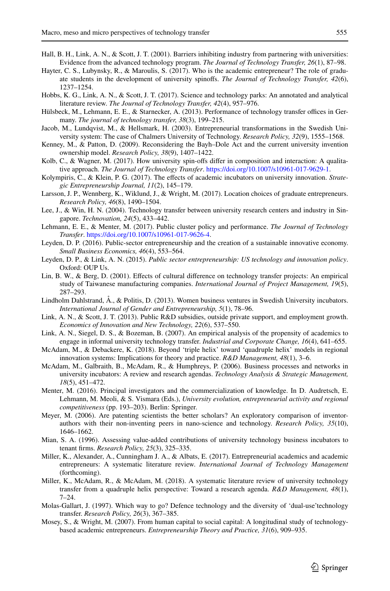- <span id="page-10-3"></span>Hall, B. H., Link, A. N., & Scott, J. T. (2001). Barriers inhibiting industry from partnering with universities: Evidence from the advanced technology program. *The Journal of Technology Transfer, 26*(1), 87–98.
- <span id="page-10-14"></span>Hayter, C. S., Lubynsky, R., & Maroulis, S. (2017). Who is the academic entrepreneur? The role of graduate students in the development of university spinofs. *The Journal of Technology Transfer, 42*(6), 1237–1254.
- <span id="page-10-12"></span>Hobbs, K. G., Link, A. N., & Scott, J. T. (2017). Science and technology parks: An annotated and analytical literature review. *The Journal of Technology Transfer, 42*(4), 957–976.
- <span id="page-10-4"></span>Hülsbeck, M., Lehmann, E. E., & Starnecker, A. (2013). Performance of technology transfer offices in Germany. *The journal of technology transfer, 38*(3), 199–215.
- <span id="page-10-6"></span>Jacob, M., Lundqvist, M., & Hellsmark, H. (2003). Entrepreneurial transformations in the Swedish University system: The case of Chalmers University of Technology. *Research Policy, 32*(9), 1555–1568.
- <span id="page-10-2"></span>Kenney, M., & Patton, D. (2009). Reconsidering the Bayh–Dole Act and the current university invention ownership model. *Research Policy, 38*(9), 1407–1422.
- <span id="page-10-25"></span>Kolb, C., & Wagner, M. (2017). How university spin-ofs difer in composition and interaction: A qualitative approach. *The Journal of Technology Transfer*. <https://doi.org/10.1007/s10961-017-9629-1>.
- <span id="page-10-7"></span>Kolympiris, C., & Klein, P. G. (2017). The effects of academic incubators on university innovation. *Strategic Entrepreneurship Journal, 11*(2), 145–179.
- <span id="page-10-8"></span>Larsson, J. P., Wennberg, K., Wiklund, J., & Wright, M. (2017). Location choices of graduate entrepreneurs. *Research Policy, 46*(8), 1490–1504.
- <span id="page-10-0"></span>Lee, J., & Win, H. N. (2004). Technology transfer between university research centers and industry in Singapore. *Technovation, 24*(5), 433–442.
- <span id="page-10-24"></span>Lehmann, E. E., & Menter, M. (2017). Public cluster policy and performance. *The Journal of Technology Transfer*. <https://doi.org/10.1007/s10961-017-9626-4>.
- <span id="page-10-23"></span>Leyden, D. P. (2016). Public-sector entrepreneurship and the creation of a sustainable innovative economy. *Small Business Economics, 46*(4), 553–564.
- <span id="page-10-22"></span>Leyden, D. P., & Link, A. N. (2015). *Public sector entrepreneurship: US technology and innovation policy*. Oxford: OUP Us.
- <span id="page-10-13"></span>Lin, B. W., & Berg, D. (2001). Efects of cultural diference on technology transfer projects: An empirical study of Taiwanese manufacturing companies. *International Journal of Project Management, 19*(5), 287–293.
- <span id="page-10-9"></span>Lindholm Dahlstrand, Å., & Politis, D. (2013). Women business ventures in Swedish University incubators. *International Journal of Gender and Entrepreneurship, 5*(1), 78–96.
- <span id="page-10-5"></span>Link, A. N., & Scott, J. T. (2013). Public R&D subsidies, outside private support, and employment growth. *Economics of Innovation and New Technology, 22*(6), 537–550.
- <span id="page-10-17"></span>Link, A. N., Siegel, D. S., & Bozeman, B. (2007). An empirical analysis of the propensity of academics to engage in informal university technology transfer. *Industrial and Corporate Change, 16*(4), 641–655.
- <span id="page-10-20"></span>McAdam, M., & Debackere, K. (2018). Beyond 'triple helix' toward 'quadruple helix' models in regional innovation systems: Implications for theory and practice. *R&D Management, 48*(1), 3–6.
- <span id="page-10-11"></span>McAdam, M., Galbraith, B., McAdam, R., & Humphreys, P. (2006). Business processes and networks in university incubators: A review and research agendas. *Technology Analysis & Strategic Management, 18*(5), 451–472.
- <span id="page-10-19"></span>Menter, M. (2016). Principal investigators and the commercialization of knowledge. In D. Audretsch, E. Lehmann, M. Meoli, & S. Vismara (Eds.), *University evolution, entrepreneurial activity and regional competitiveness* (pp. 193–203). Berlin: Springer.
- <span id="page-10-18"></span>Meyer, M. (2006). Are patenting scientists the better scholars? An exploratory comparison of inventorauthors with their non-inventing peers in nano-science and technology. *Research Policy, 35*(10), 1646–1662.
- <span id="page-10-10"></span>Mian, S. A. (1996). Assessing value-added contributions of university technology business incubators to tenant frms. *Research Policy, 25*(3), 325–335.
- <span id="page-10-16"></span>Miller, K., Alexander, A., Cunningham J. A., & Albats, E. (2017). Entrepreneurial academics and academic entrepreneurs: A systematic literature review. *International Journal of Technology Management* (forthcoming).
- <span id="page-10-21"></span>Miller, K., McAdam, R., & McAdam, M. (2018). A systematic literature review of university technology transfer from a quadruple helix perspective: Toward a research agenda. *R&D Management, 48*(1),  $7 - 24$ .
- <span id="page-10-1"></span>Molas-Gallart, J. (1997). Which way to go? Defence technology and the diversity of 'dual-use'technology transfer. *Research Policy, 26*(3), 367–385.
- <span id="page-10-15"></span>Mosey, S., & Wright, M. (2007). From human capital to social capital: A longitudinal study of technologybased academic entrepreneurs. *Entrepreneurship Theory and Practice, 31*(6), 909–935.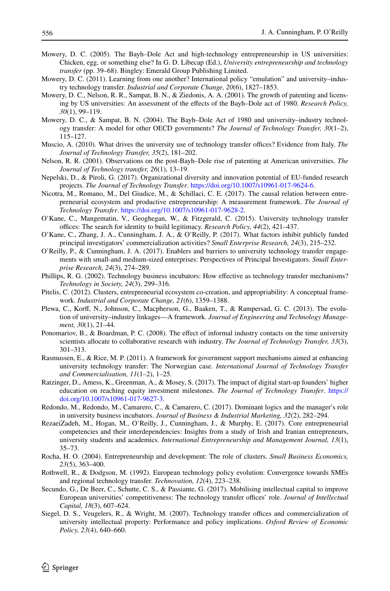- <span id="page-11-4"></span>Mowery, D. C. (2005). The Bayh–Dole Act and high-technology entrepreneurship in US universities: Chicken, egg, or something else? In G. D. Libecap (Ed.), *University entrepreneurship and technology transfer* (pp. 39–68). Bingley: Emerald Group Publishing Limited.
- <span id="page-11-5"></span>Mowery, D. C. (2011). Learning from one another? International policy "emulation" and university–industry technology transfer. *Industrial and Corporate Change, 20*(6), 1827–1853.
- <span id="page-11-6"></span>Mowery, D. C., Nelson, R. R., Sampat, B. N., & Ziedonis, A. A. (2001). The growth of patenting and licensing by US universities: An assessment of the efects of the Bayh–Dole act of 1980. *Research Policy, 30*(1), 99–119.
- <span id="page-11-7"></span>Mowery, D. C., & Sampat, B. N. (2004). The Bayh–Dole Act of 1980 and university–industry technology transfer: A model for other OECD governments? *The Journal of Technology Transfer, 30*(1–2), 115–127.
- <span id="page-11-12"></span>Muscio, A. (2010). What drives the university use of technology transfer offices? Evidence from Italy. *The Journal of Technology Transfer, 35*(2), 181–202.
- <span id="page-11-8"></span>Nelson, R. R. (2001). Observations on the post-Bayh–Dole rise of patenting at American universities. *The Journal of Technology transfer, 26*(1), 13–19.
- <span id="page-11-20"></span>Nepelski, D., & Piroli, G. (2017). Organizational diversity and innovation potential of EU-funded research projects. *The Journal of Technology Transfer*. <https://doi.org/10.1007/s10961-017-9624-6>.
- <span id="page-11-21"></span>Nicotra, M., Romano, M., Del Giudice, M., & Schillaci, C. E. (2017). The causal relation between entrepreneurial ecosystem and productive entrepreneurship: A measurement framework. *The Journal of Technology Transfer*. [https://doi.org/10.1007/s10961-017-9628-2.](https://doi.org/10.1007/s10961-017-9628-2)
- <span id="page-11-10"></span>O'Kane, C., Mangematin, V., Geoghegan, W., & Fitzgerald, C. (2015). University technology transfer offices: The search for identity to build legitimacy. *Research Policy*, 44(2), 421–437.
- <span id="page-11-16"></span>O'Kane, C., Zhang, J. A., Cunningham, J. A., & O'Reilly, P. (2017). What factors inhibit publicly funded principal investigators' commercialization activities? *Small Enterprise Research, 24*(3), 215–232.
- <span id="page-11-15"></span>O'Reilly, P., & Cunningham, J. A. (2017). Enablers and barriers to university technology transfer engagements with small-and medium-sized enterprises: Perspectives of Principal Investigators. *Small Enterprise Research, 24*(3), 274–289.
- <span id="page-11-1"></span>Phillips, R. G. (2002). Technology business incubators: How effective as technology transfer mechanisms? *Technology in Society, 24*(3), 299–316.
- <span id="page-11-18"></span>Pitelis, C. (2012). Clusters, entrepreneurial ecosystem co-creation, and appropriability: A conceptual framework. *Industrial and Corporate Change, 21*(6), 1359–1388.
- <span id="page-11-13"></span>Plewa, C., Korff, N., Johnson, C., Macpherson, G., Baaken, T., & Rampersad, G. C. (2013). The evolution of university–industry linkages—A framework. *Journal of Engineering and Technology Management, 30*(1), 21–44.
- <span id="page-11-14"></span>Ponomariov, B., & Boardman, P. C. (2008). The effect of informal industry contacts on the time university scientists allocate to collaborative research with industry. *The Journal of Technology Transfer, 33*(3), 301–313.
- <span id="page-11-0"></span>Rasmussen, E., & Rice, M. P. (2011). A framework for government support mechanisms aimed at enhancing university technology transfer: The Norwegian case. *International Journal of Technology Transfer and Commercialisation, 11*(1–2), 1–25.
- <span id="page-11-22"></span>Ratzinger, D., Amess, K., Greenman, A., & Mosey, S. (2017). The impact of digital start-up founders' higher education on reaching equity investment milestones. *The Journal of Technology Transfer*. [https://](https://doi.org/10.1007/s10961-017-9627-3) [doi.org/10.1007/s10961-017-9627-3.](https://doi.org/10.1007/s10961-017-9627-3)
- <span id="page-11-11"></span>Redondo, M., Redondo, M., Camarero, C., & Camarero, C. (2017). Dominant logics and the manager's role in university business incubators. *Journal of Business & Industrial Marketing, 32*(2), 282–294.
- <span id="page-11-17"></span>RezaeiZadeh, M., Hogan, M., O'Reilly, J., Cunningham, J., & Murphy, E. (2017). Core entrepreneurial competencies and their interdependencies: Insights from a study of Irish and Iranian entrepreneurs, university students and academics. *International Entrepreneurship and Management Journal, 13*(1), 35–73.
- <span id="page-11-19"></span>Rocha, H. O. (2004). Entrepreneurship and development: The role of clusters. *Small Business Economics, 23*(5), 363–400.
- <span id="page-11-3"></span>Rothwell, R., & Dodgson, M. (1992). European technology policy evolution: Convergence towards SMEs and regional technology transfer. *Technovation, 12*(4), 223–238.
- <span id="page-11-9"></span>Secundo, G., De Beer, C., Schutte, C. S., & Passiante, G. (2017). Mobilising intellectual capital to improve European universities' competitiveness: The technology transfer offices' role. *Journal of Intellectual Capital, 18*(3), 607–624.
- <span id="page-11-2"></span>Siegel, D. S., Veugelers, R., & Wright, M. (2007). Technology transfer offices and commercialization of university intellectual property: Performance and policy implications. *Oxford Review of Economic Policy, 23*(4), 640–660.